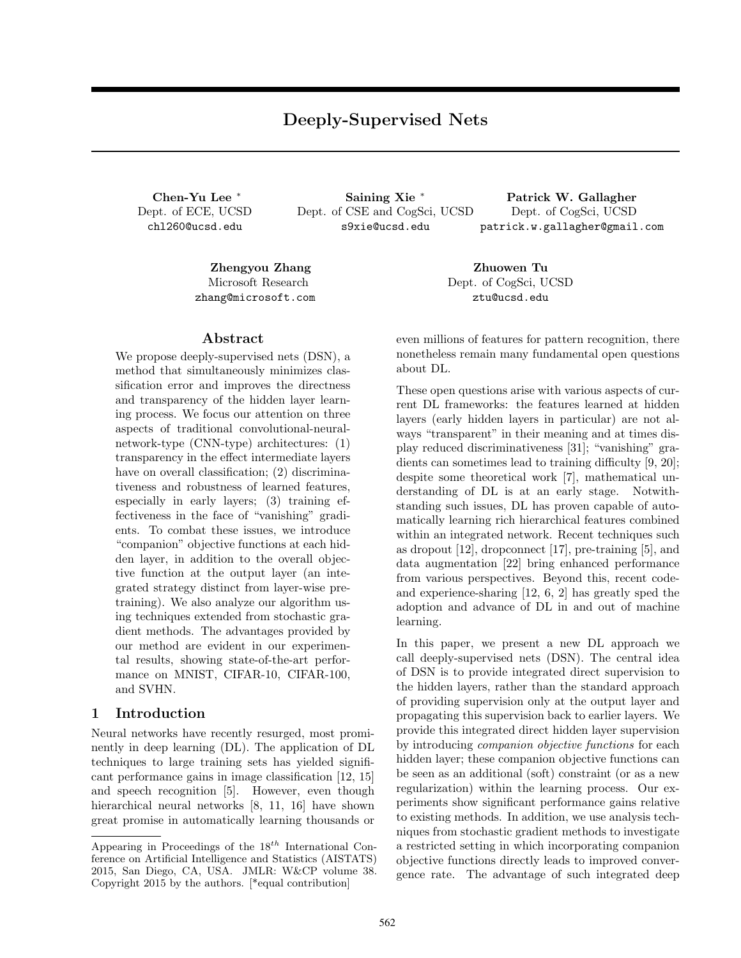# **Deeply-Supervised Nets**

Dept. of ECE, UCSD chl260@ucsd.edu

**Chen-Yu Lee** *<sup>∗</sup>* **Saining Xie** *<sup>∗</sup>* **Patrick W. Gallagher** Dept. of CSE and CogSci, UCSD s9xie@ucsd.edu

Dept. of CogSci, UCSD patrick.w.gallagher@gmail.com

**Zhengyou Zhang Zhuowen Tu** Microsoft Research zhang@microsoft.com

## **Abstract**

We propose deeply-supervised nets (DSN), a method that simultaneously minimizes classification error and improves the directness and transparency of the hidden layer learning process. We focus our attention on three aspects of traditional convolutional-neuralnetwork-type (CNN-type) architectures: (1) transparency in the effect intermediate layers have on overall classification; (2) discriminativeness and robustness of learned features, especially in early layers; (3) training effectiveness in the face of "vanishing" gradients. To combat these issues, we introduce "companion" objective functions at each hidden layer, in addition to the overall objective function at the output layer (an integrated strategy distinct from layer-wise pretraining). We also analyze our algorithm using techniques extended from stochastic gradient methods. The advantages provided by our method are evident in our experimental results, showing state-of-the-art performance on MNIST, CIFAR-10, CIFAR-100, and SVHN.

### **1 Introduction**

Neural networks have recently resurged, most prominently in deep learning (DL). The application of DL techniques to large training sets has yielded significant performance gains in image classification [12, 15] and speech recognition [5]. However, even though hierarchical neural networks [8, 11, 16] have shown great promise in automatically learning thousands or

Dept. of CogSci, UCSD ztu@ucsd.edu

even millions of features for pattern recognition, there nonetheless remain many fundamental open questions about DL.

These open questions arise with various aspects of current DL frameworks: the features learned at hidden layers (early hidden layers in particular) are not always "transparent" in their meaning and at times display reduced discriminativeness [31]; "vanishing" gradients can sometimes lead to training difficulty [9, 20]; despite some theoretical work [7], mathematical understanding of DL is at an early stage. Notwithstanding such issues, DL has proven capable of automatically learning rich hierarchical features combined within an integrated network. Recent techniques such as dropout [12], dropconnect [17], pre-training [5], and data augmentation [22] bring enhanced performance from various perspectives. Beyond this, recent codeand experience-sharing [12, 6, 2] has greatly sped the adoption and advance of DL in and out of machine learning.

In this paper, we present a new DL approach we call deeply-supervised nets (DSN). The central idea of DSN is to provide integrated direct supervision to the hidden layers, rather than the standard approach of providing supervision only at the output layer and propagating this supervision back to earlier layers. We provide this integrated direct hidden layer supervision by introducing *companion objective functions* for each hidden layer; these companion objective functions can be seen as an additional (soft) constraint (or as a new regularization) within the learning process. Our experiments show significant performance gains relative to existing methods. In addition, we use analysis techniques from stochastic gradient methods to investigate a restricted setting in which incorporating companion objective functions directly leads to improved convergence rate. The advantage of such integrated deep

Appearing in Proceedings of the 18*th* International Conference on Artificial Intelligence and Statistics (AISTATS) 2015, San Diego, CA, USA. JMLR: W&CP volume 38. Copyright 2015 by the authors. [\*equal contribution]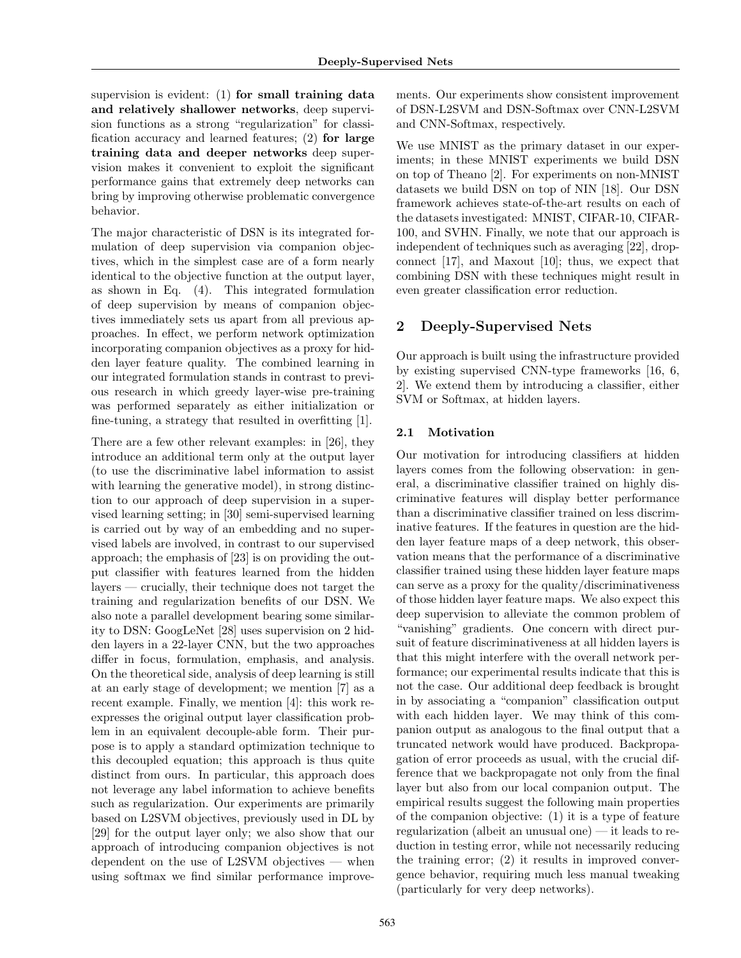supervision is evident: (1) **for small training data and relatively shallower networks**, deep supervision functions as a strong "regularization" for classification accuracy and learned features; (2) **for large training data and deeper networks** deep supervision makes it convenient to exploit the significant performance gains that extremely deep networks can bring by improving otherwise problematic convergence behavior.

The major characteristic of DSN is its integrated formulation of deep supervision via companion objectives, which in the simplest case are of a form nearly identical to the objective function at the output layer, as shown in Eq. (4). This integrated formulation of deep supervision by means of companion objectives immediately sets us apart from all previous approaches. In effect, we perform network optimization incorporating companion objectives as a proxy for hidden layer feature quality. The combined learning in our integrated formulation stands in contrast to previous research in which greedy layer-wise pre-training was performed separately as either initialization or fine-tuning, a strategy that resulted in overfitting [1].

There are a few other relevant examples: in [26], they introduce an additional term only at the output layer (to use the discriminative label information to assist with learning the generative model), in strong distinction to our approach of deep supervision in a supervised learning setting; in [30] semi-supervised learning is carried out by way of an embedding and no supervised labels are involved, in contrast to our supervised approach; the emphasis of [23] is on providing the output classifier with features learned from the hidden layers — crucially, their technique does not target the training and regularization benefits of our DSN. We also note a parallel development bearing some similarity to DSN: GoogLeNet [28] uses supervision on 2 hidden layers in a 22-layer CNN, but the two approaches differ in focus, formulation, emphasis, and analysis. On the theoretical side, analysis of deep learning is still at an early stage of development; we mention [7] as a recent example. Finally, we mention [4]: this work reexpresses the original output layer classification problem in an equivalent decouple-able form. Their purpose is to apply a standard optimization technique to this decoupled equation; this approach is thus quite distinct from ours. In particular, this approach does not leverage any label information to achieve benefits such as regularization. Our experiments are primarily based on L2SVM objectives, previously used in DL by [29] for the output layer only; we also show that our approach of introducing companion objectives is not dependent on the use of L2SVM objectives — when using softmax we find similar performance improve-

ments. Our experiments show consistent improvement of DSN-L2SVM and DSN-Softmax over CNN-L2SVM and CNN-Softmax, respectively.

We use MNIST as the primary dataset in our experiments; in these MNIST experiments we build DSN on top of Theano [2]. For experiments on non-MNIST datasets we build DSN on top of NIN [18]. Our DSN framework achieves state-of-the-art results on each of the datasets investigated: MNIST, CIFAR-10, CIFAR-100, and SVHN. Finally, we note that our approach is independent of techniques such as averaging [22], dropconnect [17], and Maxout [10]; thus, we expect that combining DSN with these techniques might result in even greater classification error reduction.

## **2 Deeply-Supervised Nets**

Our approach is built using the infrastructure provided by existing supervised CNN-type frameworks [16, 6, 2]. We extend them by introducing a classifier, either SVM or Softmax, at hidden layers.

## **2.1 Motivation**

Our motivation for introducing classifiers at hidden layers comes from the following observation: in general, a discriminative classifier trained on highly discriminative features will display better performance than a discriminative classifier trained on less discriminative features. If the features in question are the hidden layer feature maps of a deep network, this observation means that the performance of a discriminative classifier trained using these hidden layer feature maps can serve as a proxy for the quality/discriminativeness of those hidden layer feature maps. We also expect this deep supervision to alleviate the common problem of "vanishing" gradients. One concern with direct pursuit of feature discriminativeness at all hidden layers is that this might interfere with the overall network performance; our experimental results indicate that this is not the case. Our additional deep feedback is brought in by associating a "companion" classification output with each hidden layer. We may think of this companion output as analogous to the final output that a truncated network would have produced. Backpropagation of error proceeds as usual, with the crucial difference that we backpropagate not only from the final layer but also from our local companion output. The empirical results suggest the following main properties of the companion objective: (1) it is a type of feature regularization (albeit an unusual one) — it leads to reduction in testing error, while not necessarily reducing the training error; (2) it results in improved convergence behavior, requiring much less manual tweaking (particularly for very deep networks).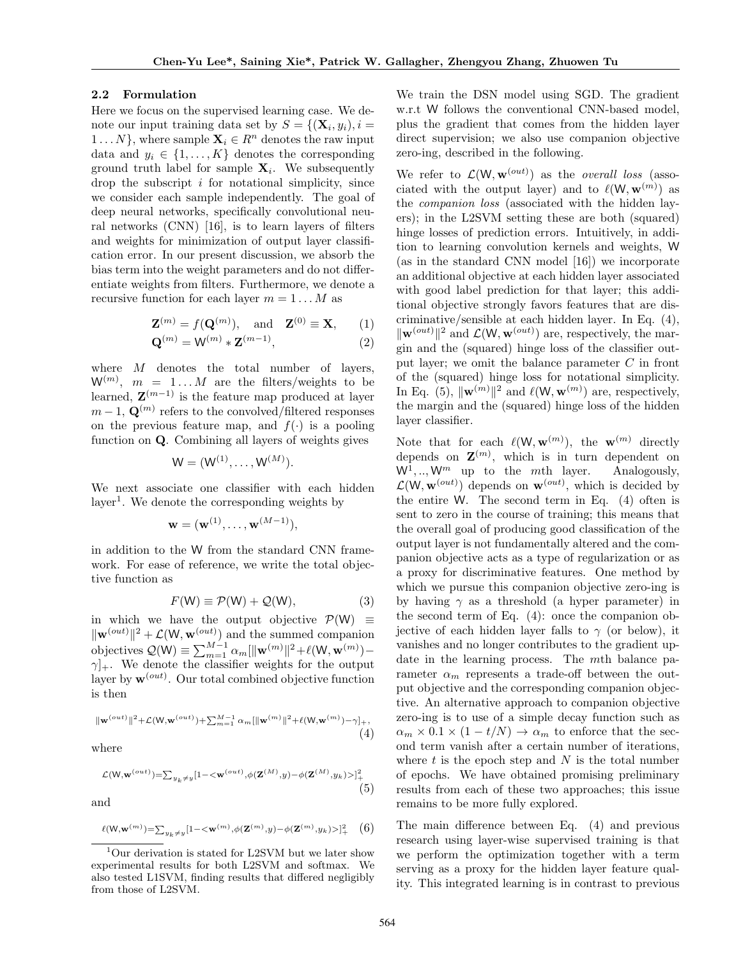#### **2.2 Formulation**

Here we focus on the supervised learning case. We denote our input training data set by  $S = \{(\mathbf{X}_i, y_i), i =$ 1 ...  $N$ <sup>}</sup>, where sample  $\mathbf{X}_i \in R^n$  denotes the raw input data and  $y_i \in \{1, \ldots, K\}$  denotes the corresponding ground truth label for sample **X***<sup>i</sup>* . We subsequently drop the subscript *i* for notational simplicity, since we consider each sample independently. The goal of deep neural networks, specifically convolutional neural networks (CNN) [16], is to learn layers of filters and weights for minimization of output layer classification error. In our present discussion, we absorb the bias term into the weight parameters and do not differentiate weights from filters. Furthermore, we denote a recursive function for each layer  $m = 1...M$  as

$$
\mathbf{Z}^{(m)} = f(\mathbf{Q}^{(m)}), \text{ and } \mathbf{Z}^{(0)} \equiv \mathbf{X}, \quad (1)
$$

$$
\mathbf{Q}^{(m)} = \mathbf{W}^{(m)} * \mathbf{Z}^{(m-1)},\tag{2}
$$

where *M* denotes the total number of layers,  $W^{(m)}$ ,  $m = 1...M$  are the filters/weights to be learned, **Z** (*m−*1) is the feature map produced at layer  $m-1$ ,  $\mathbf{Q}^{(m)}$  refers to the convolved/filtered responses on the previous feature map, and  $f(\cdot)$  is a pooling function on **Q**. Combining all layers of weights gives

$$
W = (W^{(1)}, \ldots, W^{(M)}).
$$

We next associate one classifier with each hidden layer<sup>1</sup>. We denote the corresponding weights by

$$
\mathbf{w} = (\mathbf{w}^{(1)}, \dots, \mathbf{w}^{(M-1)}),
$$

in addition to the W from the standard CNN framework. For ease of reference, we write the total objective function as

$$
F(\mathsf{W}) \equiv \mathcal{P}(\mathsf{W}) + \mathcal{Q}(\mathsf{W}),\tag{3}
$$

in which we have the output objective  $P(W) \equiv$ *∥***w**(*out*)*∥* <sup>2</sup> + *L*(W*,* **w**(*out*) ) and the summed companion  $\text{objective } \mathcal{Q}(\mathsf{W}) \equiv \sum_{m=1}^{M-1} \alpha_m [\|\mathbf{w}^{(m)}\|^2 + \ell(\mathsf{W}, \mathbf{w}^{(m)}) - \ell(\mathsf{W}, \mathbf{w}^{(m)})]$ *γ*]+. We denote the classifier weights for the output layer by  $\mathbf{w}^{(out)}$ . Our total combined objective function is then

$$
\| \mathbf{w}^{(out)}\|^2 + \mathcal{L}(\mathbf{W}, \mathbf{w}^{(out)}) + \sum_{m=1}^{M-1} \alpha_m [\| \mathbf{w}^{(m)}\|^2 + \ell(\mathbf{W}, \mathbf{w}^{(m)}) - \gamma]_+, \tag{4}
$$

where

$$
\mathcal{L}(\mathbf{W}, \mathbf{w}^{(out)}) = \sum_{y_k \neq y} [1 - \langle \mathbf{w}^{(out)}, \phi(\mathbf{Z}^{(M)}, y) - \phi(\mathbf{Z}^{(M)}, y_k) \rangle]_+^2
$$
\n
$$
(5)
$$

and

$$
\ell(\mathbf{W}, \mathbf{w}^{(m)}) = \sum_{y_k \neq y} [1 - \langle \mathbf{w}^{(m)}, \phi(\mathbf{Z}^{(m)}, y) - \phi(\mathbf{Z}^{(m)}, y_k) \rangle]_+^2 \quad (6)
$$

We train the DSN model using SGD. The gradient w.r.t W follows the conventional CNN-based model, plus the gradient that comes from the hidden layer direct supervision; we also use companion objective zero-ing, described in the following.

We refer to  $\mathcal{L}(W, \mathbf{w}^{(out)})$  as the *overall loss* (associated with the output layer) and to  $\ell(\mathsf{W}, \mathbf{w}^{(m)})$  as the *companion loss* (associated with the hidden layers); in the L2SVM setting these are both (squared) hinge losses of prediction errors. Intuitively, in addition to learning convolution kernels and weights, W (as in the standard CNN model [16]) we incorporate an additional objective at each hidden layer associated with good label prediction for that layer; this additional objective strongly favors features that are discriminative/sensible at each hidden layer. In Eq. (4), *∥***w**(*out*)*∥* <sup>2</sup> and *L*(W*,* **w**(*out*) ) are, respectively, the margin and the (squared) hinge loss of the classifier output layer; we omit the balance parameter *C* in front of the (squared) hinge loss for notational simplicity. In Eq. (5),  $\|\mathbf{w}^{(m)}\|^2$  and  $\ell(\mathsf{W}, \mathbf{w}^{(m)})$  are, respectively, the margin and the (squared) hinge loss of the hidden layer classifier.

Note that for each  $\ell(\mathsf{W}, \mathbf{w}^{(m)})$ , the  $\mathbf{w}^{(m)}$  directly depends on  $\mathbf{Z}^{(m)}$ , which is in turn dependent on  $W^1, \ldots, W^m$  up to the *mth* layer. Analogously,  $\mathcal{L}(\mathsf{W}, \mathbf{w}^{(out)})$  depends on  $\mathbf{w}^{(out)}$ , which is decided by the entire W. The second term in Eq. (4) often is sent to zero in the course of training; this means that the overall goal of producing good classification of the output layer is not fundamentally altered and the companion objective acts as a type of regularization or as a proxy for discriminative features. One method by which we pursue this companion objective zero-ing is by having  $\gamma$  as a threshold (a hyper parameter) in the second term of Eq. (4): once the companion objective of each hidden layer falls to  $\gamma$  (or below), it vanishes and no longer contributes to the gradient update in the learning process. The *m*th balance parameter  $\alpha_m$  represents a trade-off between the output objective and the corresponding companion objective. An alternative approach to companion objective zero-ing is to use of a simple decay function such as  $\alpha_m \times 0.1 \times (1 - t/N) \rightarrow \alpha_m$  to enforce that the second term vanish after a certain number of iterations, where *t* is the epoch step and *N* is the total number of epochs. We have obtained promising preliminary results from each of these two approaches; this issue remains to be more fully explored.

The main difference between Eq. (4) and previous research using layer-wise supervised training is that we perform the optimization together with a term serving as a proxy for the hidden layer feature quality. This integrated learning is in contrast to previous

<sup>1</sup>Our derivation is stated for L2SVM but we later show experimental results for both L2SVM and softmax. We also tested L1SVM, finding results that differed negligibly from those of L2SVM.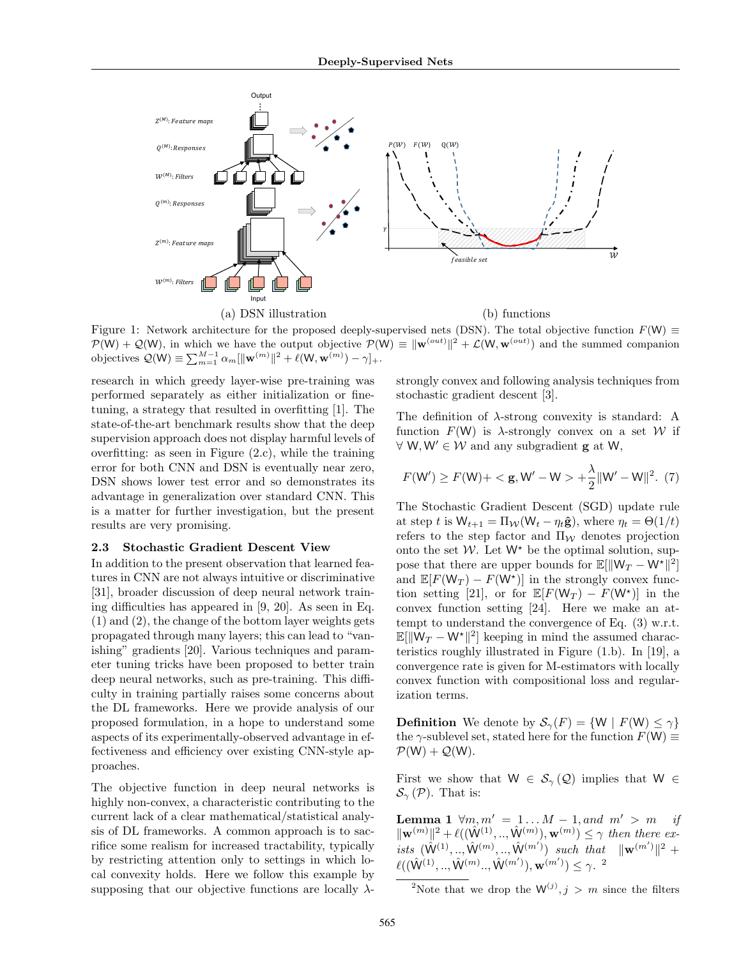

Figure 1: Network architecture for the proposed deeply-supervised nets (DSN). The total objective function *F*(W) *≡*  $P(W) + Q(W)$ , in which we have the output objective  $P(W) \equiv ||\mathbf{w}^{(out)}||^2 + \mathcal{L}(W, \mathbf{w}^{(out)})$  and the summed companion  $\text{objective } \mathcal{Q}(\mathsf{W}) \equiv \sum_{m=1}^{M-1} \alpha_m [\|\mathbf{w}^{(m)}\|^2 + \ell(\mathsf{W}, \mathbf{w}^{(m)}) - \gamma]_+.$ 

research in which greedy layer-wise pre-training was performed separately as either initialization or finetuning, a strategy that resulted in overfitting [1]. The state-of-the-art benchmark results show that the deep supervision approach does not display harmful levels of overfitting: as seen in Figure (2.c), while the training error for both CNN and DSN is eventually near zero, DSN shows lower test error and so demonstrates its advantage in generalization over standard CNN. This is a matter for further investigation, but the present results are very promising.

#### **2.3 Stochastic Gradient Descent View**

In addition to the present observation that learned features in CNN are not always intuitive or discriminative [31], broader discussion of deep neural network training difficulties has appeared in [9, 20]. As seen in Eq. (1) and (2), the change of the bottom layer weights gets propagated through many layers; this can lead to "vanishing" gradients [20]. Various techniques and parameter tuning tricks have been proposed to better train deep neural networks, such as pre-training. This difficulty in training partially raises some concerns about the DL frameworks. Here we provide analysis of our proposed formulation, in a hope to understand some aspects of its experimentally-observed advantage in effectiveness and efficiency over existing CNN-style approaches.

The objective function in deep neural networks is highly non-convex, a characteristic contributing to the current lack of a clear mathematical/statistical analysis of DL frameworks. A common approach is to sacrifice some realism for increased tractability, typically by restricting attention only to settings in which local convexity holds. Here we follow this example by supposing that our objective functions are locally *λ*- strongly convex and following analysis techniques from stochastic gradient descent [3].

The definition of *λ*-strong convexity is standard: A function  $F(W)$  is  $\lambda$ -strongly convex on a set W if *∀* W*,* W*′ ∈ W* and any subgradient **g** at W,

$$
F(W') \ge F(W) + \langle g, W' - W \rangle + \frac{\lambda}{2} ||W' - W||^2. (7)
$$

The Stochastic Gradient Descent (SGD) update rule at step *t* is  $W_{t+1} = \Pi_W(W_t - \eta_t \hat{\mathbf{g}})$ , where  $\eta_t = \Theta(1/t)$ refers to the step factor and  $\Pi_{\mathcal{W}}$  denotes projection onto the set  $W$ . Let  $W^*$  be the optimal solution, suppose that there are upper bounds for  $\mathbb{E}[\|\mathsf{W}_T - \mathsf{W}^*\|^2]$ and  $\mathbb{E}[F(\mathsf{W}_T) - F(\mathsf{W}^*)]$  in the strongly convex function setting [21], or for  $\mathbb{E}[F(\mathsf{W}_T) - F(\mathsf{W}^*)]$  in the convex function setting [24]. Here we make an attempt to understand the convergence of Eq. (3) w.r.t.  $\mathbb{E}[\|\mathsf{W}_T - \mathsf{W}^{\star}\|^2]$  keeping in mind the assumed characteristics roughly illustrated in Figure (1.b). In [19], a convergence rate is given for M-estimators with locally convex function with compositional loss and regularization terms.

**Definition** We denote by  $S_\gamma(F) = \{W \mid F(W) \leq \gamma\}$ the  $\gamma$ -sublevel set, stated here for the function  $F(W) \equiv$  $P(W) + Q(W)$ .

First we show that  $W \in S_\gamma(\mathcal{Q})$  implies that  $W \in$  $\mathcal{S}_{\gamma}(\mathcal{P})$ . That is:

**Lemma 1**  $\forall m, m' = 1...M − 1, and m' > m$  *if*  $\|\mathbf{w}^{(m)}\|^2 + \ell((\hat{W}^{(1)},..,\hat{W}^{(m)}),\mathbf{w}^{(m)}) \leq \gamma$  *then there ex-* $\hat{W}^{(1)},...,\hat{W}^{(m)},...,\hat{W}^{(m')})$  *such that*  $\|\mathbf{w}^{(m')}\|^2 +$  $\ell((\hat{\mathsf{W}}^{(1)},..,\hat{\mathsf{W}}^{(m)}..,\hat{\mathsf{W}}^{(m')}),\mathbf{w}^{(m')}) \leq \gamma.$ <sup>2</sup>

<sup>2</sup>Note that we drop the  $W^{(j)}$ ,  $j > m$  since the filters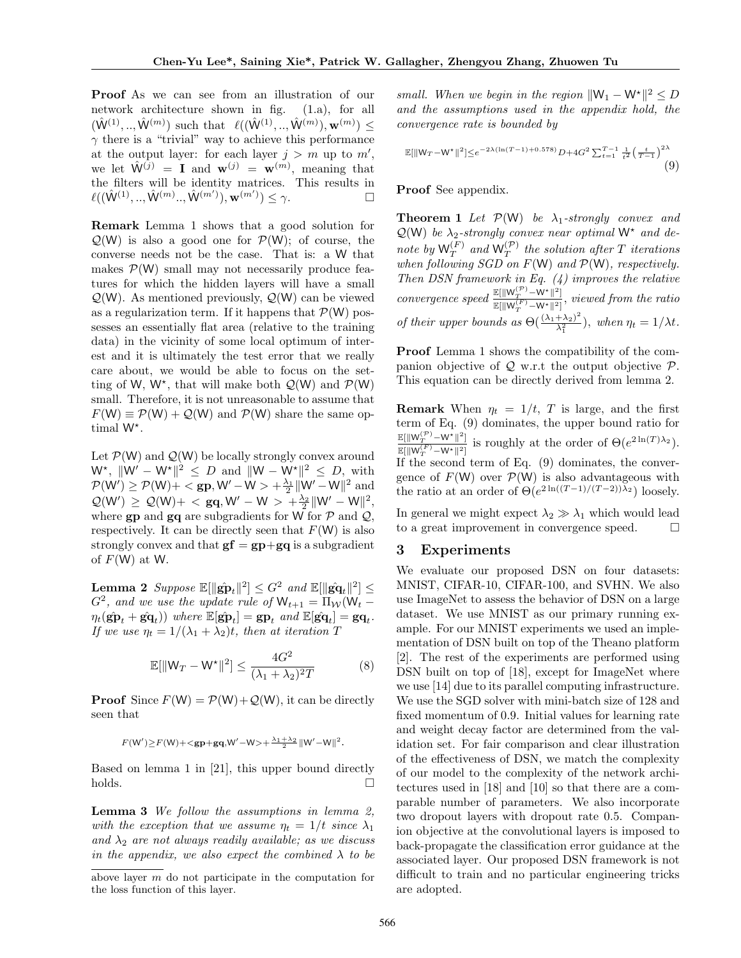**Proof** As we can see from an illustration of our network architecture shown in fig. (1.a), for all  $(\hat{W}^{(1)},..,\hat{W}^{(m)})$  such that  $\ell((\hat{W}^{(1)},..,\hat{W}^{(m)}),\mathbf{w}^{(m)}) \leq$  $\gamma$  there is a "trivial" way to achieve this performance at the output layer: for each layer  $j > m$  up to  $m'$ , we let  $\hat{\mathbf{W}}^{(j)} = \mathbf{I}$  and  $\mathbf{w}^{(j)} = \mathbf{w}^{(m)}$ , meaning that the filters will be identity matrices. This results in  $\ell((\hat{\mathbf{W}}^{(1)},...,\hat{\mathbf{W}}^{(m)}...,\hat{\mathbf{W}}^{(m')}), \mathbf{w}^{(m')}) \leq \gamma.$ 

**Remark** Lemma 1 shows that a good solution for  $Q(W)$  is also a good one for  $P(W)$ ; of course, the converse needs not be the case. That is: a W that makes  $P(W)$  small may not necessarily produce features for which the hidden layers will have a small *Q*(W). As mentioned previously, *Q*(W) can be viewed as a regularization term. If it happens that  $P(W)$  possesses an essentially flat area (relative to the training data) in the vicinity of some local optimum of interest and it is ultimately the test error that we really care about, we would be able to focus on the setting of W,  $W^*$ , that will make both  $\mathcal{Q}(W)$  and  $\mathcal{P}(W)$ small. Therefore, it is not unreasonable to assume that  $F(W) \equiv \mathcal{P}(W) + \mathcal{Q}(W)$  and  $\mathcal{P}(W)$  share the same optimal W*<sup>⋆</sup>* .

Let  $P(W)$  and  $Q(W)$  be locally strongly convex around  $W^*$ ,  $\|W' - W^*\|^2 \leq D$  and  $\|W - W^*\|^2 \leq D$ , with  $\mathcal{P}(W') \ge \mathcal{P}(W) + \langle \textbf{gp}, W' - W \rangle + \frac{\lambda_1}{2} ||W' - W||^2$  and  $\mathcal{Q}(W') \geq \mathcal{Q}(W) + \langle gq, W' - W \rangle + \frac{\lambda_2}{2} ||W' - W||^2,$ where **gp** and **gq** are subgradients for W for *P* and *Q*, respectively. It can be directly seen that  $F(W)$  is also strongly convex and that  $gf = gp + gq$  is a subgradient of  $F(W)$  at W.

 $\textbf{Lemma 2} \ \ \textit{Suppose} \ \mathbb{E}[\|\hat{\mathbf{gp}}_t\|^2] \leq G^2 \ \ \textit{and} \ \mathbb{E}[\|\hat{\mathbf{gq}}_t\|^2] \leq 0$  $G^2$ , and we use the update rule of  $W_{t+1} = \Pi_W(W_t - \Pi_W(W_t - \Pi_W(W_t - \Pi_W(W_t - \Pi_W(W_t - \Pi_W(W_t - \Pi_W(W_t - \Pi_W(W_t - \Pi_W(W_t - \Pi_W(W_t - \Pi_W(W_t - \Pi_W(W_t - \Pi_W(W_t - \Pi_W(W_t - \Pi_W)))))))$  $\eta_t(\hat{\mathbf{g}}\hat{\mathbf{p}}_t + \hat{\mathbf{g}}\hat{\mathbf{q}}_t)$ ) where  $\mathbb{E}[\hat{\mathbf{g}}\hat{\mathbf{p}}_t] = \mathbf{g}\mathbf{p}_t$  and  $\mathbb{E}[\hat{\mathbf{g}}\hat{\mathbf{q}}_t] = \mathbf{g}\mathbf{q}_t$ . *If we use*  $\eta_t = 1/(\lambda_1 + \lambda_2)t$ *, then at iteration T* 

$$
\mathbb{E}[\|W_T - W^\star\|^2] \le \frac{4G^2}{(\lambda_1 + \lambda_2)^2 T} \tag{8}
$$

**Proof** Since  $F(W) = \mathcal{P}(W) + \mathcal{Q}(W)$ , it can be directly seen that

$$
F(W') \geq F(W) + \langle gp + \mathbf{g}q, W' - W \rangle + \frac{\lambda_1 + \lambda_2}{2} ||W' - W||^2.
$$

Based on lemma 1 in [21], this upper bound directly  $\Box$ holds.

**Lemma 3** *We follow the assumptions in lemma 2, with the exception that we assume*  $\eta_t = 1/t$  *since*  $\lambda_1$ and  $\lambda_2$  *are not always readily available; as we discuss in the appendix, we also expect the combined*  $\lambda$  *to be*  *small. When we begin in the region*  $||W_1 - W^*||^2 \le D$ *and the assumptions used in the appendix hold, the convergence rate is bounded by*

$$
\mathbb{E}[\|W_T - W^*\|^2] \le e^{-2\lambda(\ln(T-1) + 0.578)} D + 4G^2 \sum_{t=1}^{T-1} \frac{1}{t^2} \left(\frac{t}{T-1}\right)^{2\lambda} \tag{9}
$$

#### **Proof** See appendix.

**Theorem 1** *Let*  $P(W)$  *be*  $\lambda_1$ -strongly convex and  $Q(W)$  *be*  $\lambda_2$ -strongly convex near optimal  $W^*$  and de*note by*  $W_T^{(F)}$  $T_T^{(F)}$  and  $W_T^{(\mathcal{P})}$  the solution after *T iterations when following SGD on F*(W) *and P*(W)*, respectively. Then DSN framework in Eq. (4) improves the relative convergence speed*  $\frac{\mathbb{E}[\|\mathsf{W}_T^{(\mathcal{P})} - \mathsf{W}^\star\|^2]}{\mathbb{E}[\|\mathsf{W}_T^{(F)} - \mathsf{W}^\star\|^2]}$  $\mathbb{E}[\|\mathbf{W}_T^{(F)} - \mathbf{W}^*\|^2],$  *viewed from the ratio of their upper bounds as*  $\Theta(\frac{(\lambda_1 + \lambda_2)^2}{\lambda_1^2})$  $\frac{(\lambda_2 + \lambda_3)}{\lambda_1^2}$ , when  $\eta_t = 1/\lambda t$ .

**Proof** Lemma 1 shows the compatibility of the companion objective of *Q* w.r.t the output objective *P*. This equation can be directly derived from lemma 2.

**Remark** When  $\eta_t = 1/t$ , *T* is large, and the first term of Eq. (9) dominates, the upper bound ratio for E[*∥*W (*P*) *<sup>T</sup> <sup>−</sup>*W*⋆<sup>∥</sup>* 2 ]  $\frac{\mathbb{E}[\|\mathbf{W}_T^{\{F\}} - \mathbf{W}^*\|^2]}{\mathbb{E}[\|\mathbf{W}_T^{\{F\}} - \mathbf{W}^*\|^2]}$  is roughly at the order of  $\Theta(e^{2\ln(T)\lambda_2})$ . If the second term of Eq. (9) dominates, the convergence of  $F(W)$  over  $\mathcal{P}(W)$  is also advantageous with the ratio at an order of  $\Theta(e^{2\ln((T-1)/(T-2))\lambda_2})$  loosely.

In general we might expect  $\lambda_2 \gg \lambda_1$  which would lead to a great improvement in convergence speed.

## **3 Experiments**

We evaluate our proposed DSN on four datasets: MNIST, CIFAR-10, CIFAR-100, and SVHN. We also use ImageNet to assess the behavior of DSN on a large dataset. We use MNIST as our primary running example. For our MNIST experiments we used an implementation of DSN built on top of the Theano platform [2]. The rest of the experiments are performed using DSN built on top of [18], except for ImageNet where we use [14] due to its parallel computing infrastructure. We use the SGD solver with mini-batch size of 128 and fixed momentum of 0*.*9. Initial values for learning rate and weight decay factor are determined from the validation set. For fair comparison and clear illustration of the effectiveness of DSN, we match the complexity of our model to the complexity of the network architectures used in [18] and [10] so that there are a comparable number of parameters. We also incorporate two dropout layers with dropout rate 0*.*5. Companion objective at the convolutional layers is imposed to back-propagate the classification error guidance at the associated layer. Our proposed DSN framework is not difficult to train and no particular engineering tricks are adopted.

above layer *m* do not participate in the computation for the loss function of this layer.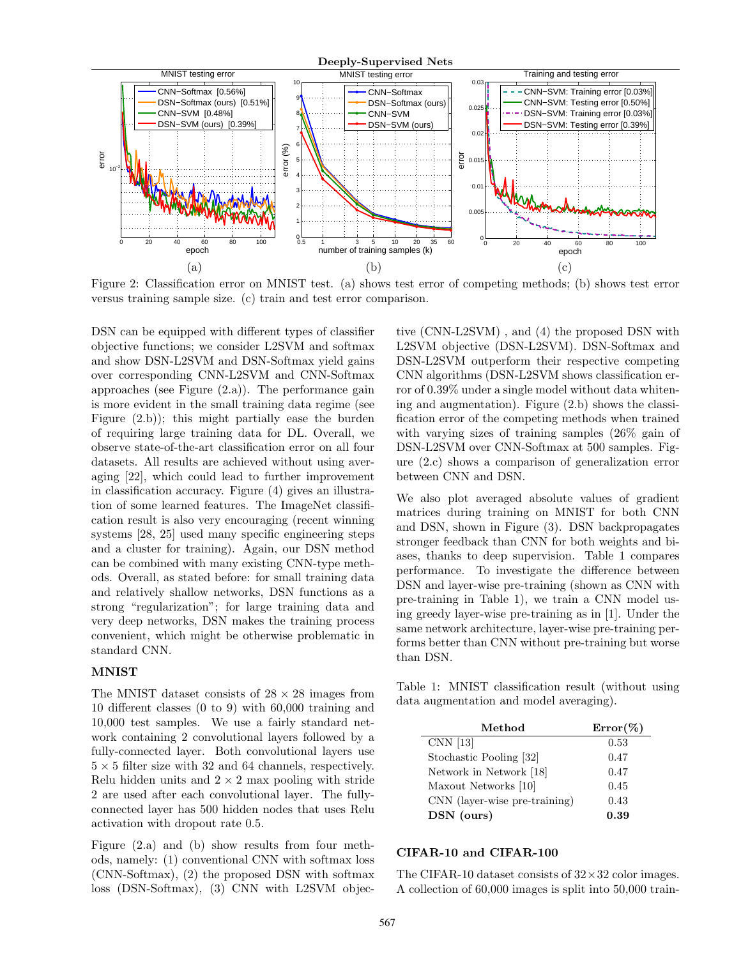

Figure 2: Classification error on MNIST test. (a) shows test error of competing methods; (b) shows test error versus training sample size. (c) train and test error comparison.

DSN can be equipped with different types of classifier objective functions; we consider L2SVM and softmax and show DSN-L2SVM and DSN-Softmax yield gains over corresponding CNN-L2SVM and CNN-Softmax approaches (see Figure (2.a)). The performance gain is more evident in the small training data regime (see Figure (2.b)); this might partially ease the burden of requiring large training data for DL. Overall, we observe state-of-the-art classification error on all four datasets. All results are achieved without using averaging [22], which could lead to further improvement in classification accuracy. Figure (4) gives an illustration of some learned features. The ImageNet classification result is also very encouraging (recent winning systems [28, 25] used many specific engineering steps and a cluster for training). Again, our DSN method can be combined with many existing CNN-type methods. Overall, as stated before: for small training data and relatively shallow networks, DSN functions as a strong "regularization"; for large training data and very deep networks, DSN makes the training process convenient, which might be otherwise problematic in standard CNN.

## **MNIST**

The MNIST dataset consists of 28 *×* 28 images from 10 different classes (0 to 9) with 60,000 training and 10,000 test samples. We use a fairly standard network containing 2 convolutional layers followed by a fully-connected layer. Both convolutional layers use 5 *×* 5 filter size with 32 and 64 channels, respectively. Relu hidden units and  $2 \times 2$  max pooling with stride 2 are used after each convolutional layer. The fullyconnected layer has 500 hidden nodes that uses Relu activation with dropout rate 0*.*5.

Figure (2.a) and (b) show results from four methods, namely: (1) conventional CNN with softmax loss (CNN-Softmax), (2) the proposed DSN with softmax loss (DSN-Softmax), (3) CNN with L2SVM objec-

tive (CNN-L2SVM) , and (4) the proposed DSN with L2SVM objective (DSN-L2SVM). DSN-Softmax and DSN-L2SVM outperform their respective competing CNN algorithms (DSN-L2SVM shows classification error of 0*.*39% under a single model without data whitening and augmentation). Figure (2.b) shows the classification error of the competing methods when trained with varying sizes of training samples (26% gain of DSN-L2SVM over CNN-Softmax at 500 samples. Figure (2.c) shows a comparison of generalization error between CNN and DSN.

We also plot averaged absolute values of gradient matrices during training on MNIST for both CNN and DSN, shown in Figure (3). DSN backpropagates stronger feedback than CNN for both weights and biases, thanks to deep supervision. Table 1 compares performance. To investigate the difference between DSN and layer-wise pre-training (shown as CNN with pre-training in Table 1), we train a CNN model using greedy layer-wise pre-training as in [1]. Under the same network architecture, layer-wise pre-training performs better than CNN without pre-training but worse than DSN.

Table 1: MNIST classification result (without using data augmentation and model averaging).

| Method                        | $Error(\%)$ |
|-------------------------------|-------------|
| CNN <sub>[13]</sub>           | 0.53        |
| Stochastic Pooling [32]       | 0.47        |
| Network in Network [18]       | 0.47        |
| Maxout Networks [10]          | 0.45        |
| CNN (layer-wise pre-training) | 0.43        |
| DSN (ours)                    | 0.39        |

#### **CIFAR-10 and CIFAR-100**

The CIFAR-10 dataset consists of 32*×*32 color images. A collection of 60,000 images is split into 50,000 train-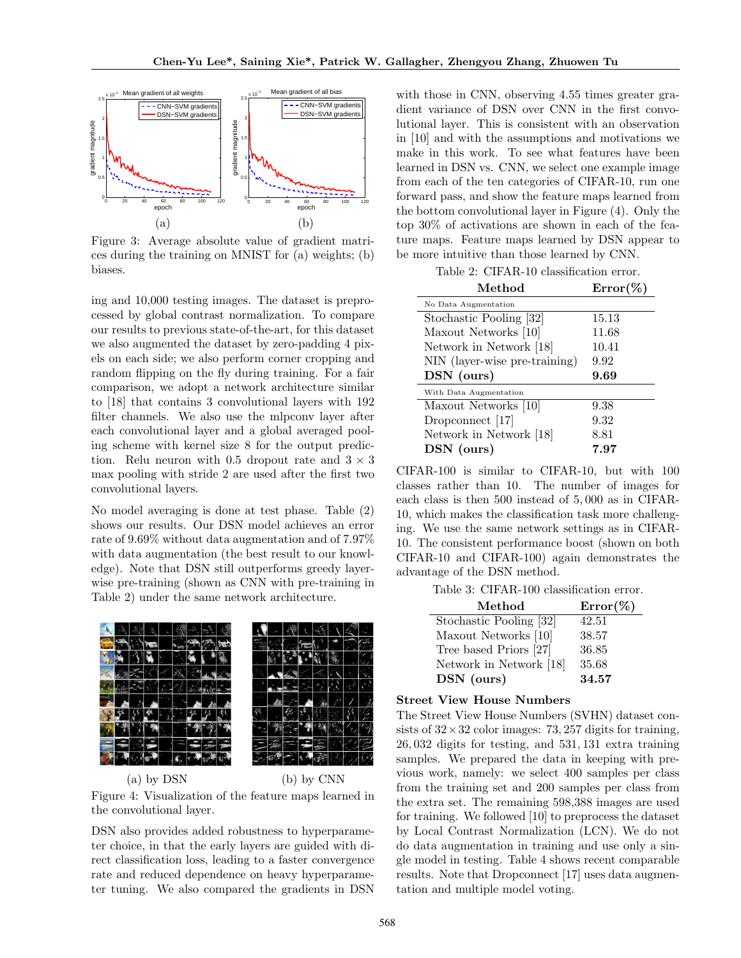

Figure 3: Average absolute value of gradient matrices during the training on MNIST for (a) weights; (b) biases.

ing and 10,000 testing images. The dataset is preprocessed by global contrast normalization. To compare our results to previous state-of-the-art, for this dataset we also augmented the dataset by zero-padding 4 pixels on each side; we also perform corner cropping and random flipping on the fly during training. For a fair comparison, we adopt a network architecture similar to [18] that contains 3 convolutional layers with 192 filter channels. We also use the mlpconv layer after each convolutional layer and a global averaged pooling scheme with kernel size 8 for the output prediction. Relu neuron with 0.5 dropout rate and  $3 \times 3$ max pooling with stride 2 are used after the first two convolutional layers.

No model averaging is done at test phase. Table (2) shows our results. Our DSN model achieves an error rate of 9*.*69% without data augmentation and of 7*.*97% with data augmentation (the best result to our knowledge). Note that DSN still outperforms greedy layerwise pre-training (shown as CNN with pre-training in Table 2) under the same network architecture.



(a) by DSN (b) by CNN Figure 4: Visualization of the feature maps learned in the convolutional layer.

DSN also provides added robustness to hyperparameter choice, in that the early layers are guided with direct classification loss, leading to a faster convergence rate and reduced dependence on heavy hyperparameter tuning. We also compared the gradients in DSN

with those in CNN, observing 4*.*55 times greater gradient variance of DSN over CNN in the first convolutional layer. This is consistent with an observation in [10] and with the assumptions and motivations we make in this work. To see what features have been learned in DSN vs. CNN, we select one example image from each of the ten categories of CIFAR-10, run one forward pass, and show the feature maps learned from the bottom convolutional layer in Figure (4). Only the top 30% of activations are shown in each of the feature maps. Feature maps learned by DSN appear to be more intuitive than those learned by CNN.

Table 2: CIFAR-10 classification error.

| Method                        | $Error\%$ |
|-------------------------------|-----------|
| No Data Augmentation          |           |
| Stochastic Pooling [32]       | 15.13     |
| Maxout Networks [10]          | 11.68     |
| Network in Network [18]       | 10.41     |
| NIN (layer-wise pre-training) | 9.92      |
| DSN (ours)                    | 9.69      |
| With Data Augmentation        |           |
| Maxout Networks [10]          | 9.38      |
| Dropconnect [17]              | 9.32      |
| Network in Network [18]       | 8.81      |
| DSN (ours)                    | 7.97      |

CIFAR-100 is similar to CIFAR-10, but with 100 classes rather than 10. The number of images for each class is then 500 instead of 5*,* 000 as in CIFAR-10, which makes the classification task more challenging. We use the same network settings as in CIFAR-10. The consistent performance boost (shown on both CIFAR-10 and CIFAR-100) again demonstrates the advantage of the DSN method.

Table 3: CIFAR-100 classification error.

| Method                  | $Error(\%)$ |
|-------------------------|-------------|
| Stochastic Pooling [32] | 42.51       |
| Maxout Networks [10]    | 38.57       |
| Tree based Priors [27]  | 36.85       |
| Network in Network [18] | 35.68       |
| DSN (ours)              | 34.57       |

#### **Street View House Numbers**

The Street View House Numbers (SVHN) dataset consists of  $32 \times 32$  color images: 73, 257 digits for training, 26*,* 032 digits for testing, and 531*,* 131 extra training samples. We prepared the data in keeping with previous work, namely: we select 400 samples per class from the training set and 200 samples per class from the extra set. The remaining 598,388 images are used for training. We followed [10] to preprocess the dataset by Local Contrast Normalization (LCN). We do not do data augmentation in training and use only a single model in testing. Table 4 shows recent comparable results. Note that Dropconnect [17] uses data augmentation and multiple model voting.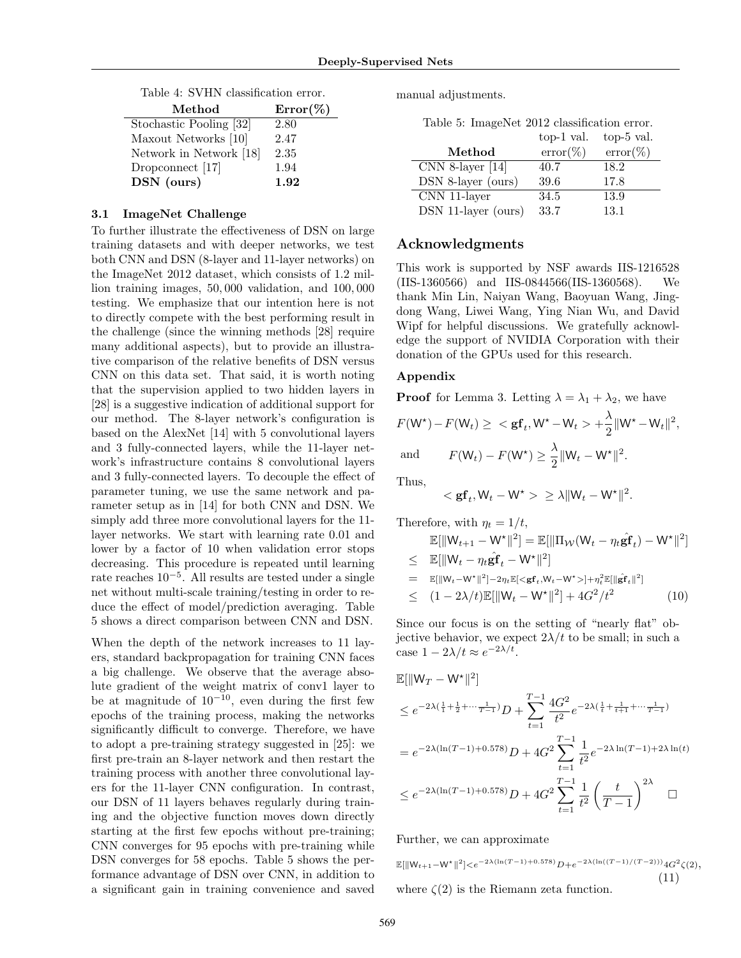| Method                  | $Error(\%)$ |
|-------------------------|-------------|
| Stochastic Pooling [32] | 2.80        |
| Maxout Networks [10]    | 2.47        |
| Network in Network [18] | 2.35        |
| Dropconnect [17]        | 1.94        |
| DSN (ours)              | $1.92\,$    |

Table 4: SVHN classification error.

#### **3.1 ImageNet Challenge**

To further illustrate the effectiveness of DSN on large training datasets and with deeper networks, we test both CNN and DSN (8-layer and 11-layer networks) on the ImageNet 2012 dataset, which consists of 1*.*2 million training images, 50*,* 000 validation, and 100*,* 000 testing. We emphasize that our intention here is not to directly compete with the best performing result in the challenge (since the winning methods [28] require many additional aspects), but to provide an illustrative comparison of the relative benefits of DSN versus CNN on this data set. That said, it is worth noting that the supervision applied to two hidden layers in [28] is a suggestive indication of additional support for our method. The 8-layer network's configuration is based on the AlexNet [14] with 5 convolutional layers and 3 fully-connected layers, while the 11-layer network's infrastructure contains 8 convolutional layers and 3 fully-connected layers. To decouple the effect of parameter tuning, we use the same network and parameter setup as in [14] for both CNN and DSN. We simply add three more convolutional layers for the 11 layer networks. We start with learning rate 0*.*01 and lower by a factor of 10 when validation error stops decreasing. This procedure is repeated until learning rate reaches 10*−*<sup>5</sup> . All results are tested under a single net without multi-scale training/testing in order to reduce the effect of model/prediction averaging. Table 5 shows a direct comparison between CNN and DSN.

When the depth of the network increases to 11 layers, standard backpropagation for training CNN faces a big challenge. We observe that the average absolute gradient of the weight matrix of conv1 layer to be at magnitude of 10*−*<sup>10</sup>, even during the first few epochs of the training process, making the networks significantly difficult to converge. Therefore, we have to adopt a pre-training strategy suggested in [25]: we first pre-train an 8-layer network and then restart the training process with another three convolutional layers for the 11-layer CNN configuration. In contrast, our DSN of 11 layers behaves regularly during training and the objective function moves down directly starting at the first few epochs without pre-training; CNN converges for 95 epochs with pre-training while DSN converges for 58 epochs. Table 5 shows the performance advantage of DSN over CNN, in addition to a significant gain in training convenience and saved

manual adjustments.

Table 5: ImageNet 2012 classification error.

|                     | top-1 val.  | top-5 val.  |
|---------------------|-------------|-------------|
| Method              | $error(\%)$ | $error(\%)$ |
| $CNN 8-layer [14]$  | 40.7        | 18.2        |
| DSN 8-layer (ours)  | 39.6        | 17.8        |
| CNN 11-layer        | 34.5        | 13.9        |
| DSN 11-layer (ours) | 33.7        | 13.1        |

## **Acknowledgments**

This work is supported by NSF awards IIS-1216528 (IIS-1360566) and IIS-0844566(IIS-1360568). We thank Min Lin, Naiyan Wang, Baoyuan Wang, Jingdong Wang, Liwei Wang, Ying Nian Wu, and David Wipf for helpful discussions. We gratefully acknowledge the support of NVIDIA Corporation with their donation of the GPUs used for this research.

#### **Appendix**

**Proof** for Lemma 3. Letting  $\lambda = \lambda_1 + \lambda_2$ , we have

$$
F(\mathsf{W}^*) - F(\mathsf{W}_t) \ge \langle \mathbf{g} \mathbf{f}_t, \mathsf{W}^* - \mathsf{W}_t \rangle + \frac{\lambda}{2} ||\mathsf{W}^* - \mathsf{W}_t||^2,
$$
  
and 
$$
F(\mathsf{W}_t) - F(\mathsf{W}^*) \ge \frac{\lambda}{2} ||\mathsf{W}_t - \mathsf{W}^*||^2.
$$

Thus,

$$
<{\mathbf{gf}}_t, {\mathsf{W}}_t - {\mathsf{W}}^\star >\; \geq \lambda \| {\mathsf{W}}_t - {\mathsf{W}}^\star \|^2
$$

Therefore, with  $\eta_t = 1/t$ ,

$$
\mathbb{E}[\|W_{t+1} - W^*\|^2] = \mathbb{E}[\|\Pi_{\mathcal{W}}(W_t - \eta_t \hat{\mathbf{g}} \mathbf{f}_t) - W^*\|^2]
$$
\n
$$
\leq \mathbb{E}[\|W_t - \eta_t \hat{\mathbf{g}} \mathbf{f}_t - W^*\|^2]
$$
\n
$$
= \mathbb{E}[\|W_{t-} - W^*\|^2] - 2\eta_t \mathbb{E}[\langle \mathbf{g} \mathbf{f}_t, W_t - W^* \rangle] + \eta_t^2 \mathbb{E}[\|\hat{\mathbf{g}} \mathbf{f}_t\|^2]
$$
\n
$$
\leq (1 - 2\lambda/t) \mathbb{E}[\|W_t - W^*\|^2] + 4G^2/t^2 \qquad (10)
$$

*.*

Since our focus is on the setting of "nearly flat" objective behavior, we expect  $2\lambda/t$  to be small; in such a  $\csc(1 - 2\lambda)t \approx e^{-2\lambda/t}$ .

$$
\mathbb{E}[\|\mathbf{W}_T - \mathbf{W}^{\star}\|^2]
$$
\n
$$
\leq e^{-2\lambda(\frac{1}{1} + \frac{1}{2} + \cdots \frac{1}{T-1})} D + \sum_{t=1}^{T-1} \frac{4G^2}{t^2} e^{-2\lambda(\frac{1}{t} + \frac{1}{t+1} + \cdots \frac{1}{T-1})}
$$
\n
$$
= e^{-2\lambda(\ln(T-1) + 0.578)} D + 4G^2 \sum_{t=1}^{T-1} \frac{1}{t^2} e^{-2\lambda \ln(T-1) + 2\lambda \ln(t)}
$$
\n
$$
\leq e^{-2\lambda(\ln(T-1) + 0.578)} D + 4G^2 \sum_{t=1}^{T-1} \frac{1}{t^2} \left(\frac{t}{T-1}\right)^{2\lambda} \quad \Box
$$

Further, we can approximate

$$
\mathbb{E}[\|W_{t+1} - W^*\|^2] < e^{-2\lambda(\ln(T-1) + 0.578)} D + e^{-2\lambda(\ln((T-1)/(T-2)))} 4G^2 \zeta(2),
$$
\nwhere  $\zeta(2)$  is the Riemann zeta function.

\n
$$
(11)
$$